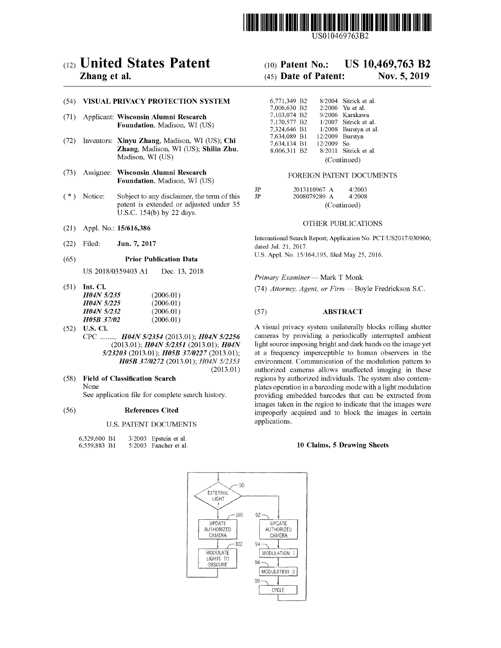

US010469763B2

# c12) **United States Patent**

### **Zhang et al.**

### (54) **VISUAL PRIVACY PROTECTION SYSTEM**

- (71) Applicant: **Wisconsin Alumni Research Foundation,** Madison, WI (US)
- (72) Inventors: **Xinyu Zhang,** Madison, WI (US); **Chi Zhang,** Madison, WI (US); **Shilin Zhu,**  Madison, WI (US)
- (73) Assignee: **Wisconsin Alumni Research Foundation,** Madison, WI (US)
- (\*) Notice: Subject to any disclaimer, the term of this patent is extended or adjusted under 35 U.S.C. 154(b) by 22 days.
- (21) Appl. No.: **15/616,386**
- (22) Filed: **Jun. 7, 2017**

#### (65) **Prior Publication Data**

US 2018/0359403 Al Dec. 13, 2018

(51) **Int. Cl.** 

| <i>H04N 5/235</i>        | (2006.01) |
|--------------------------|-----------|
| <i>H04N 5/225</i>        | (2006.01) |
| <i>H04N 5/232</i>        | (2006.01) |
| <i><b>H05B 37/02</b></i> | (2006.01) |

- (52) **U.S. Cl.**  CPC ......... *H04N 512354* (2013.01); *H04N 512256*  (2013.01); *H04N 512351* (2013.01); *H04N 5123203* (2013.01); *H05B 3710227* (2013.01); *H05B 3710272* (2013.01); *H04N 5/2353*  (2013.01)
- ( 58) **Field of Classification Search**  None See application file for complete search history.

### (56) **References Cited**

### U.S. PATENT DOCUMENTS

| 6,529,600 B1 |  | 3/2003 Epstein et al.   |
|--------------|--|-------------------------|
| 6,559,883 B1 |  | $5/2003$ Fancher et al. |

| (10) Patent No.: |  | US 10,469,763 B2 |  |
|------------------|--|------------------|--|
|                  |  |                  |  |

## (45) **Date of Patent: Nov. 5, 2019**

| 6,771,349 B2 |             |         | 8/2004 Sitrick et al. |
|--------------|-------------|---------|-----------------------|
| 7,006,630 B2 |             |         | 2/2006 Yu et al.      |
| 7,103,074 B2 |             | 9/2006  | Karakawa              |
| 7,170,577 B2 |             |         | 1/2007 Sitrick et al. |
| 7.324.646 B1 |             | 1/2008  | Burstyn et al.        |
| 7,634,089 B1 |             | 12/2009 | Burstyn               |
| 7,634,134 B1 |             | 12/2009 | So.                   |
| 8,006,311 B2 |             |         | 8/2011 Sitrick et al. |
|              | (Continued) |         |                       |

### FOREIGN PATENT DOCUMENTS

| ΙP  | 2013110967 A | 4/2003      |  |  |
|-----|--------------|-------------|--|--|
| TP. | 2008079289 A | 4/2008      |  |  |
|     |              | (Continued) |  |  |

#### OTHER PUBLICATIONS

International Search Report; Application No. PCT /US2017 /030960; dated Jul. 21, 2017. U.S. Appl. No. 15/164,195, filed May 25, 2016.

*Primary Examiner* - Mark T Monk

(74) Attorney, Agent, or Firm - Boyle Fredrickson S.C.

### (57) **ABSTRACT**

A visual privacy system unilaterally blocks rolling shutter cameras by providing a periodically interrupted ambient light source imposing bright and dark bands on the image yet at a frequency imperceptible to human observers in the environment. Communication of the modulation pattern to authorized cameras allows unaffected imaging in these regions by authorized individuals. The system also contemplates operation in a barcoding mode with a light modulation providing embedded barcodes that can be extracted from images taken in the region to indicate that the images were improperly acquired and to block the images in certain applications.

#### **10 Claims, 5 Drawing Sheets**

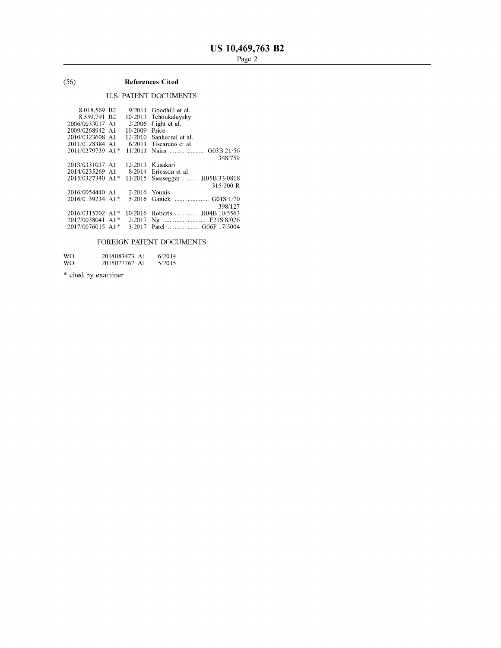### (56) **References Cited**

### U.S. PATENT DOCUMENTS

| 8.018.569 B2     | 9/2011          | Goodhill et al.          |
|------------------|-----------------|--------------------------|
| 8,559,791 B2     | 10/2013         | Tchoukaleysky            |
| 2006/0033017 A1  | 2/2006          | Light et al.             |
| 2009/0268942 A1  | 10/2009         | Price                    |
| 2010/0323608 A1  | 12/2010         | Sanhedral et al.         |
| 2011/0128384 A1  | 6/2011          | Tiscareno et al.         |
| 2011/0279739 A1* | 11/2011         |                          |
|                  |                 | 348/759                  |
| 2013/0331037 A1  | 12/2013         | Kusakari                 |
| 2014/0235269 A1  | 8/2014          | Ericsson et al.          |
| 2015/0327340 A1* | 11/2015         | Siessegger  H05B 33/0818 |
|                  |                 | 315/200 R                |
| 2016/0054440 A1  | $2/2016$ Younis |                          |
| 2016/0139234 A1* |                 |                          |
|                  |                 | 398/127                  |
| 2016/0315702 A1* | 10/2016         | Roberts  H04B 10/5563    |
| 2017/0038041 A1* | 2/2017          |                          |
| 2017/0076015 A1* | 3/2017          |                          |
|                  |                 |                          |

### FOREIGN PATENT DOCUMENTS

| WO. | 2014083473 A1 | 6/2014 |
|-----|---------------|--------|
| WO. | 2015077767 A1 | 5/2015 |

\* cited by examiner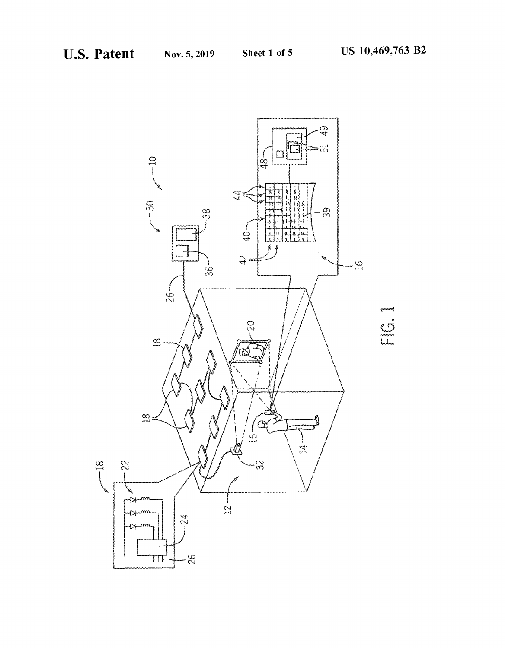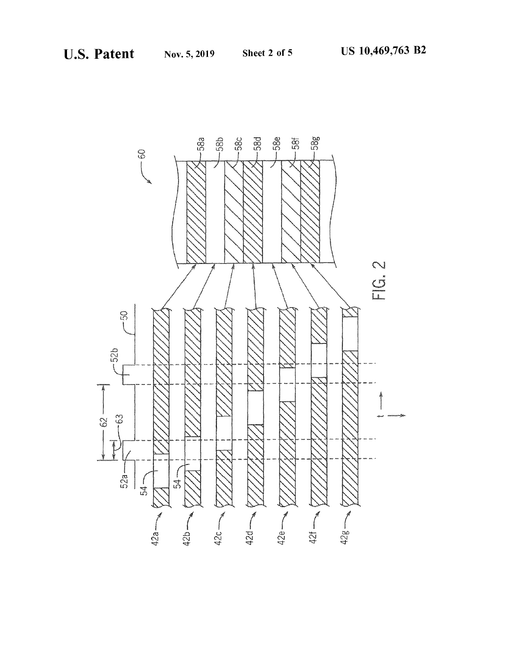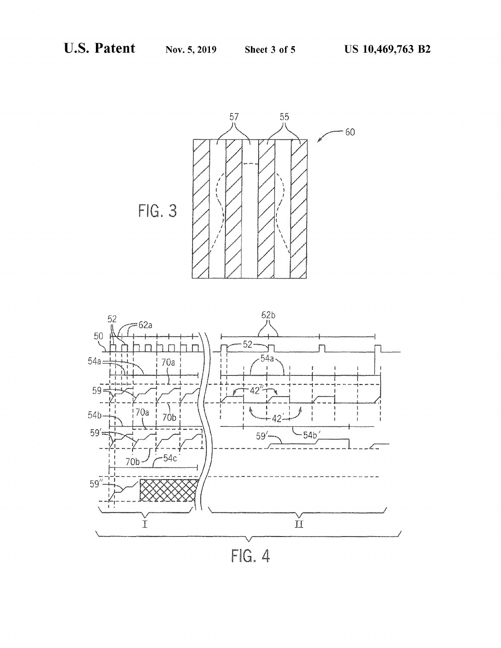

FIG. 4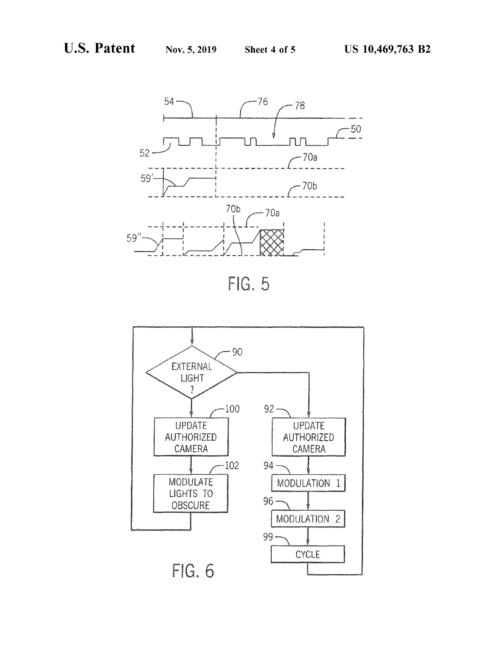





FIG. 6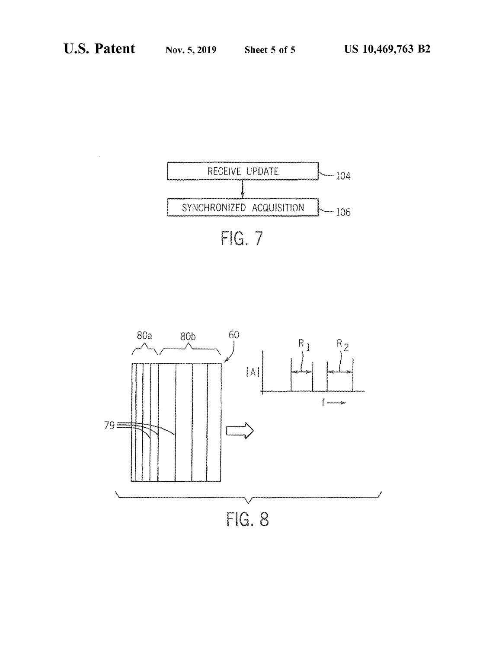

FIG. 7

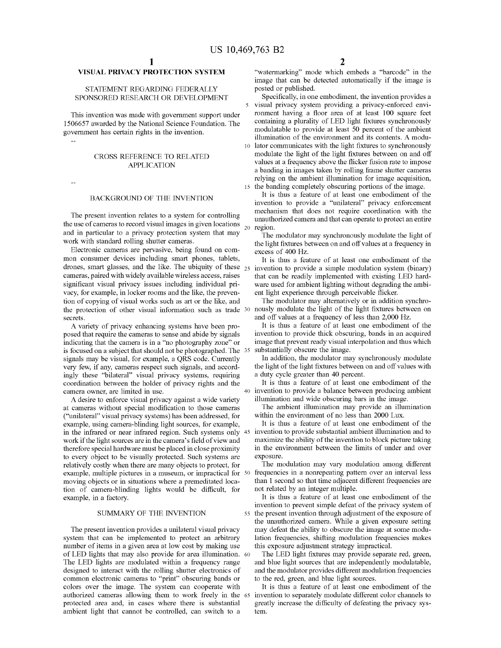### **VISUAL PRIVACY PROTECTION SYSTEM**

### STATEMENT REGARDING FEDERALLY SPONSORED RESEARCH OR DEVELOPMENT

This invention was made with government support under 1506657 awarded by the National Science Foundation. The government has certain rights in the invention.

#### CROSS REFERENCE TO RELATED APPLICATION

#### BACKGROUND OF THE INVENTION

The present invention relates to a system for controlling the use of cameras to record visual images in given locations  $_{20}$ and in particular to a privacy protection system that may work with standard rolling shutter cameras.

Electronic cameras are pervasive, being found on common consumer devices including smart phones, tablets, drones, smart glasses, and the like. The ubiquity of these  $_{25}$ cameras, paired with widely available wireless access, raises significant visual privacy issues including individual privacy, for example, in locker rooms and the like, the prevention of copying of visual works such as art or the like, and the protection of other visual information such as trade 30 secrets.

A variety of privacy enhancing systems have been proposed that require the cameras to sense and abide by signals indicating that the camera is in a "no photography zone" or is focused on a subject that should not be photographed. The 35 signals may be visual, for example, a QRS code. Currently very few, if any, cameras respect such signals, and accordingly these "bilateral" visual privacy systems, requiring coordination between the holder of privacy rights and the

A desire to enforce visual privacy against a wide variety illumination and wide obscuring bars in the image. at cameras without special modification to those cameras ("unilateral" visual privacy systems) has been addressed, for example, using camera-blinding light sources, for example, in the infrared or near infrared region. Such systems only work if the light sources are in the camera's field of view and therefore special hardware must be placed in close proximity to every object to be visually protected. Such systems are relatively costly when there are many objects to protect, for example, multiple pictures in a museum, or impractical for 50 moving objects or in situations where a premeditated location of camera-blinding lights would be difficult, for example, in a factory.

### SUMMARY OF THE INVENTION

The present invention provides a unilateral visual privacy system that can be implemented to protect an arbitrary number of items in a given area at low cost by making use of LED lights that may also provide for area illumination. 60 The LED lights are modulated within a frequency range designed to interact with the rolling shutter electronics of common electronic cameras to "print" obscuring bands or colors over the image. The system can cooperate with authorized cameras allowing them to work freely in the 65 protected area and, in cases where there is substantial ambient light that cannot be controlled, can switch to a

"watermarking" mode which embeds a "barcode" in the image that can be detected automatically if the image is posted or published.

Specifically, in one embodiment, the invention provides a visual privacy system providing a privacy-enforced environment having a floor area of at least 100 square feet containing a plurality of LED light fixtures synchronously modulatable to provide at least 50 percent of the ambient illumination of the environment and its contents. A modu-10 lator communicates with the light fixtures to synchronously modulate the light of the light fixtures between on and off values at a frequency above the flicker fusion rate to impose a banding in images taken by rolling frame shutter cameras relying on the ambient illumination for image acquisition, 15 the banding completely obscuring portions of the image.

It is thus a feature of at least one embodiment of the invention to provide a "unilateral" privacy enforcement mechanism that does not require coordination with the unauthorized camera and that can operate to protect an entire region.

The modulator may synchronously modulate the light of the light fixtures between on and off values at a frequency in excess of 400 Hz.

It is thus a feature of at least one embodiment of the invention to provide a simple modulation system (binary) that can be readily implemented with existing LED hardware used for ambient lighting without degrading the ambient light experience through perceivable flicker.

The modulator may alternatively or in addition synchronously modulate the light of the light fixtures between on and off values at a frequency of less than 2,000 Hz.

It is thus a feature of at least one embodiment of the invention to provide thick obscuring, bands in an acquired image that prevent ready visual interpolation and thus which substantially obscure the image.

In addition, the modulator may synchronously modulate the light of the light fixtures between on and off values with a duty cycle greater than 40 percent.

It is thus a feature of at least one embodiment of the camera owner, are limited in use. 40 invention to provide a balance between producing ambient

> The ambient illumination may provide an illumination within the environment of no less than 2000 Lux.

> It is thus a feature of at least one embodiment of the invention to provide substantial ambient illumination and to maximize the ability of the invention to block picture taking in the environment between the limits of under and over exposure.

> The modulation may vary modulation among different frequencies in a nonrepeating pattern over an interval less than 1 second so that time adjacent different frequencies are not related by an integer multiple.

It is thus a feature of at least one embodiment of the invention to prevent simple defeat of the privacy system of 55 the present invention through adjustment of the exposure of the unauthorized camera. While a given exposure setting may defeat the ability to obscure the image at some modulation frequencies, shifting modulation frequencies makes this exposure adjustment strategy impractical.

The LED light fixtures may provide separate red, green, and blue light sources that are independently modulatable, and the modulator provides different modulation frequencies to the red, green, and blue light sources.

It is thus a feature of at least one embodiment of the invention to separately modulate different color channels to greatly increase the difficulty of defeating the privacy system.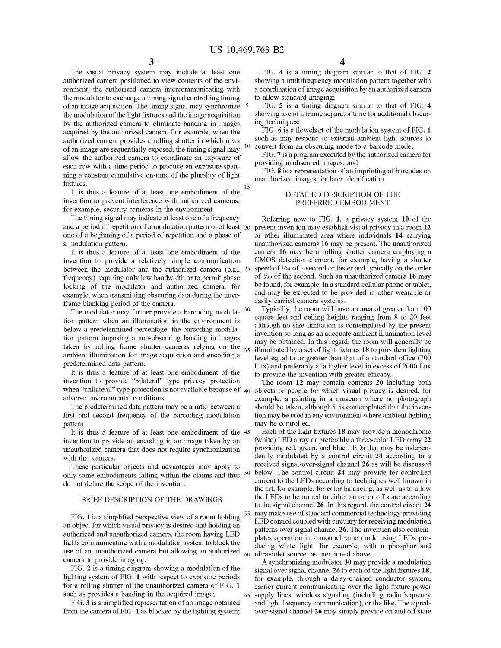The visual privacy system may include at least one authorized camera positioned to view contents of the environment, the authorized camera intercommunicating with the modulator to exchange a timing signal controlling timing of an image acquisition. The timing signal may synchronize 5 the modulation of the light fixtures and the image acquisition by the authorized camera to eliminate banding in images acquired by the authorized camera. For example, when the authorized camera provides a rolling shutter in which rows of an image are sequentially exposed, the timing signal may allow the authorized camera to coordinate an exposure of each row with a time period to produce an exposure spanning a constant cumulative on-time of the plurality of light

fixtures.<br>It is thus a feature of at least one embodiment of the <sup>15</sup> invention to prevent interference with authorized cameras, for example, security cameras in the environment.

The timing signal may indicate at least one of a frequency and a period of repetition of a modulation pattern or at least 20 one of a beginning of a period of repetition and a phase of a modulation pattern.

It is thus a feature of at least one embodiment of the invention to provide a relatively simple communication between the modulator and the authorized camera (e.g.,  $25$ frequency) requiring only low bandwidth or to permit phase locking of the modulator and authorized camera, for example, when transmitting obscuring data during the interframe blanking period of the camera.

The modulator may further provide a barcoding modulation pattern when an illumination in the environment is below a predetermined percentage, the barcoding modulation pattern imposing a non-obscuring banding in images taken by rolling frame shutter cameras relying on the  $35$ ambient illumination for image acquisition and encoding a predetermined data pattern.

It is thus a feature of at least one embodiment of the to provide the invention with greater efficacy. invention to provide "bilateral" type privacy protection when "unilateral" type protection is not available because of 40 objects or people for which visual privacy is desired, for adverse environmental conditions.

The predetermined data pattern may be a ratio between a first and second frequency of the barcoding modulation pattern.

invention to provide an encoding in an image taken by an unauthorized camera that does not require synchronization with that camera.

These particular objects and advantages may apply to only some embodiments falling within the claims and thus <sup>50</sup> do not define the scope of the invention.

### BRIEF DESCRIPTION OF THE DRAWINGS

FIG. **1** is a simplified perspective view of a room holding an object for which visual privacy is desired and holding an authorized and unauthorized camera, the room having LED lights communicating with a modulation system to block the use of an unauthorized camera but allowing an authorized camera to provide imaging;

FIG. **2** is a timing diagram showing a modulation of the lighting system of FIG. **1** with respect to exposure periods for a rolling shutter of the unauthorized camera of FIG. **1**  such as provides a banding in the acquired image;

FIG. **3** is a simplified representation of an image obtained from the camera of FIG. **1** as blocked by the lighting system;

FIG. 4 is a timing diagram similar to that of FIG. 2 showing a multifrequency modulation pattern together with a coordination of image acquisition by an authorized camera to allow standard imaging;

FIG. **5** is a timing diagram similar to that of FIG. **4**  showing use of a frame separator time for additional obscuring techniques;

FIG. **6** is a flowchart of the modulation system of FIG. **1**  such as may respond to external ambient light sources to convert from an obscuring mode to a barcode mode;

FIG. **7** is a program executed by the authorized camera for providing unobscured images; and

FIG. 8 is a representation of an imprinting of barcodes on unauthorized images for later identification.

### DETAILED DESCRIPTION OF THE PREFERRED EMBODIMENT

Referring now to FIG. **1,** a privacy system **10** of the present invention may establish visual privacy in a room **12**  or other illuminated area where individuals **14** carrying unauthorized cameras **16** may be present. The unauthorized camera **16** may be a rolling shutter camera employing a CMOS detection element, for example, having a shutter speed of  $\frac{1}{24}$  of a second or faster and typically on the order of 1/20 of the second. Such an unauthorized camera **16** may be found, for example, in a standard cellular phone or tablet, and may be expected to be provided in other wearable or easily carried camera systems.

Typically, the room will have an area of greater than 100 square feet and ceiling heights ranging from 8 to 20 feet although no size limitation is contemplated by the present invention so long as an adequate ambient illumination level may be obtained. In this regard, the room will generally be 35 illuminated by a set of light fixtures **18** to provide a lighting level equal to or greater than that of a standard office (700 Lux) and preferably at a higher level in excess of 2000 Lux

The room **12** may contain contents **20** including both example, a painting in a museum where no photograph should be taken, although it is contemplated that the invention may be used in any environment where ambient lighting may be controlled.

It is thus a feature of at least one embodiment of the 45 Each of the light fixtures **18** may provide a monochrome (white) LED array or preferably a three-color LED array **22**  providing red, green, and blue LEDs that may be independently modulated by a control circuit **24** according to a received signal-over-signal channel **26** as will be discussed 50 below. The control circuit **24** may provide for controlled current to the LEDs according to techniques well known in the art, for example, for color balancing, as well as to allow the LEDs to be turned to either an on or off state according to the signal charmel **26.** In this regard, the control circuit **24**  may make use of standard commercial technology providing LED control coupled with circuitry for receiving modulation patterns over signal channel **26.** The invention also contemplates operation in a monochrome mode using LEDs producing white light, for example, with a phosphor and ultraviolet source, as mentioned above.

A synchronizing modulator **30** may provide a modulation signal over signal channel **26** to each of the light fixtures **18,**  for example, through a daisy-chained conductor system, carrier current communicating over the light fixture power supply lines, wireless signaling (including radiofrequency and light frequency communication), or the like. The signalover-signal channel **26** may simply provide on and off state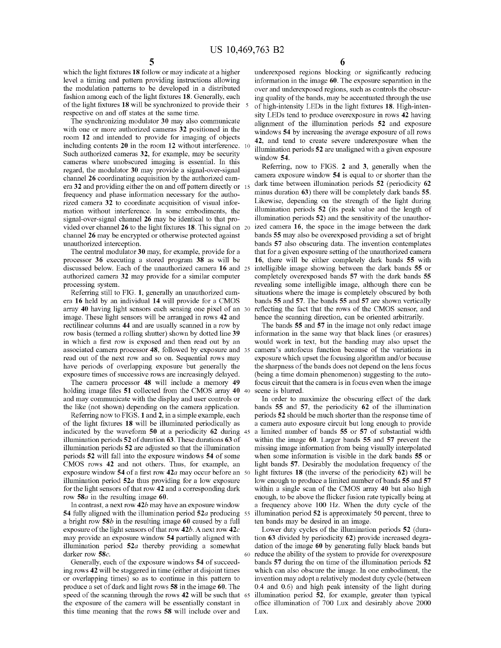which the light fixtures **18** follow or may indicate at a higher level a timing and pattern providing instructions allowing the modulation patterns to be developed in a distributed fashion among each of the light fixtures **18.** Generally, each of the light fixtures **18** will be synchronized to provide their 5 respective on and off states at the same time.

The synchronizing modulator **30** may also communicate with one or more authorized cameras **32** positioned in the room **12** and intended to provide for imaging of objects including contents **20** in the room **12** without interference. 10 Such authorized cameras **32,** for example, may be security cameras where unobscured imaging is essential. In this regard, the modulator **30** may provide a signal-over-signal channel **26** coordinating acquisition by the authorized camera **3 2** and providing either the on and off pattern directly or 15 frequency and phase information necessary for the authorized camera **32** to coordinate acquisition of visual information without interference. In some embodiments, the signal-over-signal channel **26** may be identical to that provided over channel **26** to the light fixtures **18.** This signal on 20 channel **26** may be encrypted or otherwise protected against unauthorized interception.

The central modulator **30** may, for example, provide for a processor **36** executing a stored program **38** as will be discussed below. Each of the unauthorized camera **16** and 25 authorized camera **32** may provide for a similar computer processing system.

Referring still to FIG. **1,** generally an unauthorized camera **16** held by an individual **14** will provide for a CMOS array **40** having light sensors each sensing one pixel of an image. These light sensors will be arranged in rows **42** and rectilinear columns **44** and are usually scanned in a row by row basis (termed a rolling shutter) shown by dotted line **39**  associated camera processor **48,** followed by exposure and read out of the next row and so on. Sequential rows may have periods of overlapping exposure but generally the exposure times of successive rows are increasingly delayed.

The camera processor **48** will include a memory **49**  holding image files **51** collected from the CMOS array **40**  and may communicate with the display and user controls or the like (not shown) depending on the camera application.

Referring now to FIGS. **1** and **2,** in a simple example, each of the light fixtures **18** will be illuminated periodically as indicated by the waveform **50** at a periodicity **62** during 45 illumination periods **52** of duration **63.** These durations **63** of illumination periods **52** are adjusted so that the illumination periods **52** will fall into the exposure windows **54** of some CMOS rows **42** and not others. Thus, for example, an exposure window **54** of a first row **42a** may occur before an 50 illumination period **52a** thus providing for a low exposure for the light sensors of that row **42** and a corresponding dark row **58a** in the resulting image **60.** 

In contrast, a next row **42b** may have an exposure window **54** fully aligned with the illumination period **52a** producing 55 a bright row **58b** in the resulting image **60** caused by a full exposure of the light sensors of that row **42b.** A next row **42c**  may provide an exposure window **54** partially aligned with illumination period **52a** thereby providing a somewhat darker row **58c.** 60 reduce the ability of the system to provide for overexposure

Generally, each of the exposure windows **54** of succeeding rows **42** will be staggered in time ( either at disjoint times or overlapping times) so as to continue in this pattern to produce a set of dark and light rows **58** in the image **60.** The speed of the scanning through the rows **42** will be such that the exposure of the camera will be essentially constant in this time meaning that the rows **58** will include over and

**6** 

underexposed regions blocking or significantly reducing information in the image **60.** The exposure separation in the over and underexposed regions, such as controls the obscuring quality of the bands, may be accentuated through the use of high-intensity LEDs in the light fixtures **18.** High-intensity LEDs tend to produce overexposure in rows **42** having alignment of the illumination periods **52** and exposure windows **54** by increasing the average exposure of all rows **42,** and tend to create severe underexposure when the illumination periods **52** are unaligned with a given exposure window **54.** 

Referring, now to FIGS. **2** and **3,** generally when the camera exposure window **54** is equal to or shorter than the dark time between illumination periods **52** (periodicity **62**  minus duration **63)** there will be completely dark bands **55.**  Likewise, depending on the strength of the light during illumination periods **52** (its peak value and the length of illumination periods **52)** and the sensitivity of the unauthorized camera **16,** the space in the image between the dark bands **55** may also be overexposed providing a set of bright bands **57** also obscuring data. The invention contemplates that for a given exposure setting of the unauthorized camera **16,** there will be either completely dark bands **55** with intelligible image showing between the dark bands **55** or completely overexposed bands **57** with the dark bands **55**  revealing some intelligible image, although there can be situations where the image is completely obscured by both bands **55** and **57.** The bands **55** and **57** are shown vertically reflecting the fact that the rows of the CMOS sensor, and hence the scanning direction, can be oriented arbitrarily.

The bands **55** and **57** in the image not only redact image information in the same way that black lines (or erasures) would work in text, but the banding may also upset the camera's autofocus function because of the variations in exposure which upset the focusing algorithm and/or because the sharpness of the bands does not depend on the lens focus (being a time domain phenomenon) suggesting to the autofocus circuit that the camera is in focus even when the image scene is blurred.

In order to maximize the obscuring effect of the dark bands **55** and **57,** the periodicity **62** of the illumination periods **52** should be much shorter than the response time of a camera auto exposure circuit but long enough to provide a limited number of bands **55** or **57** of substantial width within the image **60.** Larger bands **55** and **57** prevent the missing image information from being visually interpolated when some information is visible in the dark bands **55** or light bands **57.** Desirably the modulation frequency of the light fixtures **18** (the inverse of the periodicity **62)** will be low enough to produce a limited number of bands **55** and **57**  within a single scan of the CMOS array **40** but also high enough, to be above the flicker fusion rate typically being at a frequency above 100 Hz. When the duty cycle of the illumination period **52** is approximately 50 percent, three to ten bands may be desired in an image.

Lower duty cycles of the illumination periods **52** ( duration **63** divided by periodicity **62)** provide increased degradation of the image **60** by generating fully black bands but bands **57** during the on time of the illumination periods **52**  which can also obscure the image. In one embodiment, the invention may adopt a relatively modest duty cycle (between 0.4 and 0.6) and high peak intensity of the light during illumination period 52, for example, greater than typical office illumination of 700 Lux and desirably above 2000 Lux.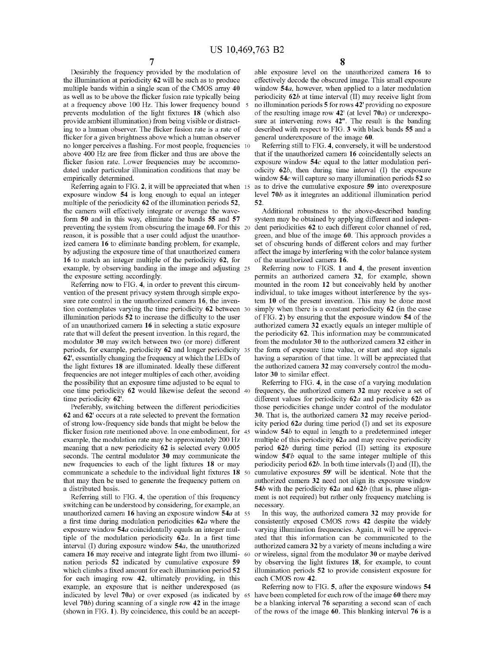Desirably the frequency provided by the modulation of the illumination at periodicity **62** will be such as to produce multiple bands within a single scan of the CMOS array **40**  as well as to be above the flicker fusion rate typically being at a frequency above 100 Hz. This lower frequency bound 5 prevents modulation of the light fixtures **18** (which also provide ambient illumination) from being visible or distracting to a human observer. The flicker fusion rate is a rate of flicker for a given brightness above which a human observer no longer perceives a flashing. For most people, frequencies 10 above 400 Hz are free from flicker and thus are above the flicker fusion rate. Lower frequencies may be accommodated under particular illumination conditions that may be empirically determined.

Referring again to FIG. **2,** it will be appreciated that when exposure window **54** is long enough to equal an integer multiple of the periodicity **62** of the illumination periods **52,**  the camera will effectively integrate or average the waveform **50** and in this way, eliminate the bands **55** and **57**  preventing the system from obscuring the image **60.** For this 20 reason, it is possible that a user could adjust the unauthorized camera **16** to eliminate banding problem, for example, by adjusting the exposure time of that unauthorized camera **16** to match an integer multiple of the periodicity **62,** for example, by observing banding in the image and adjusting 25 the exposure setting accordingly.

Referring now to FIG. **4,** in order to prevent this circumvention of the present privacy system through simple exposure rate control in the unauthorized camera **16,** the invention contemplates varying the time periodicity **62** between 30 illumination periods **52** to increase the difficulty to the user of an unauthorized camera **16** in selecting a static exposure rate that will defeat the present invention. In this regard, the modulator **30** may switch between two (or more) different periods, for example, periodicity **62** and longer periodicity 35 **62',** essentially changing the frequency at which the LEDs of the light fixtures **18** are illuminated. Ideally these different frequencies are not integer multiples of each other, avoiding the possibility that an exposure time adjusted to be equal to one time periodicity **62** would likewise defeat the second 40 frequency, the authorized camera **32** may receive a set of time periodicity **62'.** 

Preferably, switching between the different periodicities **62** and **62'** occurs at a rate selected to prevent the formation of strong low-frequency side bands that might be below the flicker fusion rate mentioned above. In one embodiment, for 45 example, the modulation rate may be approximately 200 Hz meaning that a new periodicity **62** is selected every 0.005 seconds. The central modulator **30** may communicate the new frequencies to each of the light fixtures **18** or may communicate a schedule to the individual light fixtures **18** 50 that may then be used to generate the frequency pattern on a distributed basis.

Referring still to FIG. **4,** the operation of this frequency switching can be understood by considering, for example, an unauthorized camera **16** having an exposure window **54a** at 55 a first time during modulation periodicities *62a* where the exposure window **54a** coincidentally equals an integer multiple of the modulation periodicity *62a.* In a first time interval (I) during exposure window **54a,** the unauthorized camera **16** may receive and integrate light from two illumi- 60 nation periods **52** indicated by cumulative exposure **59**  which climbs a fixed amount for each illumination period **52**  for each imaging row **42,** ultimately providing, in this example, an exposure that is neither underexposed (as indicated by level **70a)** or over exposed (as indicated by 65 level **70b)** during scanning of a single row **42** in the image (shown in FIG. **1).** By coincidence, this could be an accept-

able exposure level on the unauthorized camera **16** to effectively decode the obscured image. This small exposure window **54a,** however, when applied to a later modulation periodicity *62b* at time interval (II) may receive light from no illumination periods **5** for rows **42'** providing no exposure of the resulting image row **42'** ( at level **70a)** or underexposure at intervening rows **42".** The result is the banding described with respect to FIG. **3** with black bands **55** and a general underexposure of the image **60.** 

Referring still to FIG. **4,** conversely, it will be understood that if the unauthorized camera **16** coincidentally selects an exposure window **54c** equal to the latter modulation periodicity *62b,* then during time interval (I) the exposure window **54c** will capture so many illumination periods **52** so 15 as to drive the cumulative exposure **59** into overexposure level *70b* as it integrates an additional illumination period **52.** 

Additional robustness to the above-described banding system may be obtained by applying different and independent periodicities **62** to each different color channel of red, green, and blue of the image **60.** This approach provides a set of obscuring bands of different colors and may further affect the image by interfering with the color balance system of the unauthorized camera **16.** 

Referring now to FIGS. **1** and **4,** the present invention permits an authorized camera **32,** for example, shown mounted in the room **12** but conceivably held by another individual, to take images without interference by the system **10** of the present invention. This may be done most simply when there is a constant periodicity **62** (in the case of FIG. **2)** by ensuring that the exposure window **54** of the authorized camera **32** exactly equals an integer multiple of the periodicity **62.** This information may be communicated from the modulator **30** to the authorized camera **32** either in the form of exposure time value, or start and stop signals having a separation of that time. It will be appreciated that the authorized camera **32** may conversely control the modulator **30** to similar effect.

Referring to FIG. **4,** in the case of a varying modulation different values for periodicity *62a* and periodicity *62b* as those periodicities change under control of the modulator **30.** That is, the authorized camera **32** may receive periodicity period *62a* during time period (I) and set its exposure window **54b** to equal in length to a predetermined integer multiple of this periodicity *62a* and may receive periodicity period *62b* during time period (II) setting its exposure window **54'b** equal to the same integer multiple of this periodicity period *62b.* In both time intervals (I) and (II), the cumulative exposures **59'** will be identical. Note that the authorized camera **32** need not align its exposure window **54b** with the periodicity *62a* and *62b* (that is, phase alignment is not required) but rather only frequency matching is necessary.

In this way, the authorized camera **32** may provide for consistently exposed CMOS rows **42** despite the widely varying illumination frequencies. Again, it will be appreciated that this information can be communicated to the authorized camera **32** by a variety of means including a wire or wireless, signal from the modulator **30** or maybe derived by observing the light fixtures **18,** for example, to count illumination periods **52** to provide consistent exposure for each CMOS row **42.** 

Referring now to FIG. **5,** after the exposure windows **54**  have been completed for each row of the image **60** there may be a blanking interval **76** separating a second scan of each of the rows of the image **60.** This blanking interval **76** is a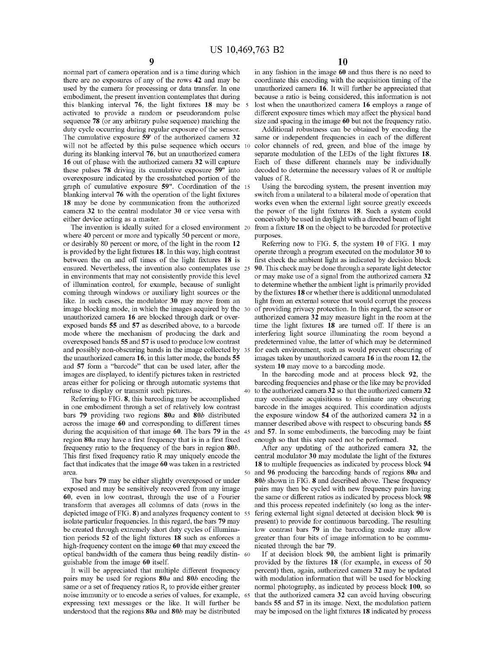normal part of camera operation and is a time during which there are no exposures of any of the rows **42** and may be used by the camera for processing or data transfer. In one embodiment, the present invention contemplates that during this blanking interval **76,** the light fixtures **18** may be activated to provide a random or pseudorandom pulse sequence **78** (or any arbitrary pulse sequence) matching the duty cycle occurring during regular exposure of the sensor. The cumulative exposure **59'** of the authorized camera **32**  will not be affected by this pulse sequence which occurs during its blanking interval **76,** but an unauthorized camera **16** out of phase with the authorized camera **32** will capture these pulses **78** driving its cumulative exposure **59"** into overexposure indicated by the crosshatched portion of the graph of cumulative exposure **59".** Coordination of the 15 blanking interval **76** with the operation of the light fixtures **18** may be done by communication from the authorized camera **32** to the central modulator **30** or vice versa with either device acting as a master.

The invention is ideally suited for a closed environment 20 where 40 percent or more and typically 50 percent or more, or desirably 80 percent or more, of the light in the room **12**  is provided by the light fixtures **18.** In this way, high contrast between the on and off times of the light fixtures **18** is ensured. Nevertheless, the invention also contemplates use 25 in environments that may not consistently provide this level of illumination control, for example, because of sunlight coming through windows or auxiliary light sources or the like. In such cases, the modulator **30** may move from an image blocking mode, in which the images acquired by the 30 unauthorized camera **16** are blocked through dark or overexposed bands **55** and **57** as described above, to a barcode mode where the mechanism of producing the dark and overexposed bands **55** and **57** is used to produce low contrast and possibly non-obscuring bands in the image collected by 35 the unauthorized camera **16,** in this latter mode, the bands **55**  and **57** form a "barcode" that can be used later, after the images are displayed, to identify pictures taken in restricted areas either for policing or through automatic systems that refuse to display or transmit such pictures.

in one embodiment through a set of relatively low contrast bars **79** providing two regions *80a* and *80b* distributed across the image **60** and corresponding to different times during the acquisition of that image **60.** The bars **79** in the 45 region *80a* may have a first frequency that is in a first fixed frequency ratio to the frequency of the bars in region *80b.*  This first fixed frequency ratio R may uniquely encode the fact that indicates that the image **60** was taken in a restricted

The bars **79** may be either slightly overexposed or under exposed and may be sensitively recovered from any image **60,** even in low contrast, through the use of a Fourier transform that averages all colunms of data (rows in the depicted image of FIG. **8)** and analyzes frequency content to isolate particular frequencies. In this regard, the bars **79** may be created through extremely short duty cycles of illumination periods **52** of the light fixtures **18** such as enforces a high-frequency content on the image **60** that may exceed the optical bandwidth of the camera thus being readily distin- <sup>60</sup> guishable from the image **60** itself.

It will be appreciated that multiple different frequency pairs may be used for regions *80a* and *80b* encoding the same or a set of frequency ratios  $R_i$ , to provide either greater noise immunity or to encode a series of values, for example, expressing text messages or the like. It will further be understood that the regions *80a* **and** *80b* may be distributed

in any fashion in the image **60** and thus there is no need to coordinate this encoding with the acquisition timing of the unauthorized camera **16.** It will further be appreciated that because a ratio is being considered, this information is not 5 lost when the unauthorized camera **16** employs a range of different exposure times which may affect the physical band size and spacing in the image **60** but not the frequency ratio.

Additional robustness can be obtained by encoding the same or independent frequencies in each of the different 10 color channels of red, green, and blue of the image by separate modulation of the LEDs of the light fixtures **18.**  Each of these different channels may be individually decoded to determine the necessary values of R or multiple values of R.

Using the barcoding system, the present invention may switch from a unilateral to a bilateral mode of operation that works even when the external light source greatly exceeds the power of the light fixtures **18.** Such a system could conceivably be used in daylight with a directed beam of light from a fixture 18 on the object to be barcoded for protective purposes.

Referring now to FIG. **5,** the system **10** of FIG. **1** may operate through a program executed on the modulator **30** to first check the ambient light as indicated by decision block **90.** This check may be done through a separate light detector or may make use of a signal from the authorized camera **32**  to determine whether the ambient light is primarily provided by the fixtures **18** or whether there is additional unmodulated light from an external source that would corrupt the process of providing privacy protection. In this regard, the sensor or authorized camera **32** may measure light in the room at the time the light fixtures **18** are turned off. If there is an interfering light source illuminating the room beyond a predetermined value, the latter of which may be determined for each environment, such as would prevent obscuring of images taken by unauthorized camera **16** in the room **12,** the system **10** may move to a barcoding mode.

In the barcoding mode and at process block **92,** the barcoding frequencies and phase or the like may be provided 40 to the authorized camera **32** so that the authorized camera **32**  Referring to FIG. **8,** this barcoding may be accomplished may coordinate acquisitions to eliminate any obscuring barcode in the images acquired. This coordination adjusts the exposure window **54** of the authorized camera **32** in a manner described above with respect to obscuring bands **55**  and **57.** In some embodiments, the barcoding may be faint enough so that this step need not be performed.

After any updating of the authorized camera **32,** the central modulator **30** may modulate the light of the fixtures **18** to multiple frequencies as indicated by process block **94**  area. 50 and **96** producing the barcoding bands of regions *80a* and *80b* shown in FIG. **8** and described above. These frequency pairs may then be cycled with new frequency pairs having the same or different ratios as indicated by process block **98**  and this process repeated indefinitely (so long as the inter-55 fering external light signal detected at decision block **90** is present) to provide for continuous barcoding. The resulting low contrast bars **79** in the barcoding mode may allow greater than four bits of image information to be communicated through the bar **79.** 

> If at decision block **90,** the ambient light is primarily provided by the fixtures **18** (for example, in excess of 50 percent) then, again, authorized camera **32** may be updated with modulation information that will be used for blocking normal photography, as indicated by process block **100,** so that the authorized camera 32 can avoid having obscuring bands **55 and 57** in its image. Next, the modulation pattern may be imposed on the light fixtures **18** indicated by process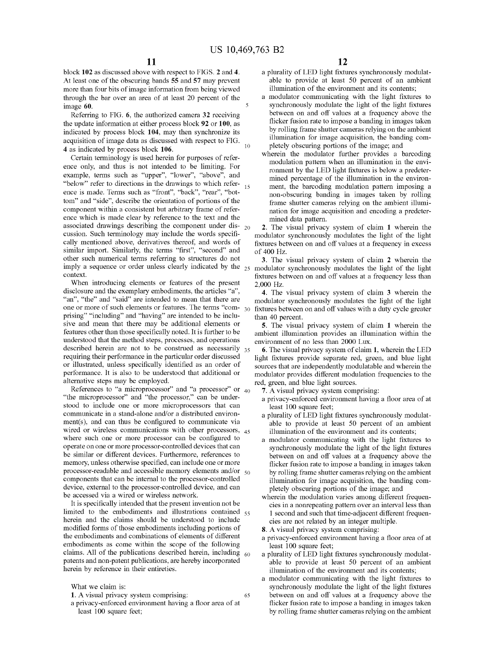block **102** as discussed above with respect to FIGS. **2** and **4.**  At least one of the obscuring bands **55** and **57** may prevent more than four bits of image information from being viewed through the bar over an area of at least 20 percent of the image **60.** 

Referring to FIG. **6,** the authorized camera **32** receiving the update information at either process block **92 or 100,** as indicated by process block **104,** may then synchronize its acquisition of image data as discussed with respect to FIG. 10 **4** as indicated by process block **106.** 

Certain terminology is used herein for purposes of reference only, and thus is not intended to be limiting. For example, terms such as "upper", "lower", "above", and "below" refer to directions in the drawings to which refer-  $_{15}$ ence is made. Terms such as "front", "back", "rear", "bottom" and "side", describe the orientation of portions of the component within a consistent but arbitrary frame of reference which is made clear by reference to the text and the associated drawings describing the component under dis- <sup>20</sup> cussion. Such terminology may include the words specifically mentioned above, derivatives thereof, and words of similar import. Similarly, the terms "first", "second" and other such numerical terms referring to structures do not imply a sequence or order unless clearly indicated by the  $_{25}$  modulator synchronously modulates the light of the light context.

When introducing elements or features of the present disclosure and the exemplary embodiments, the articles "a", "an", "the" and "said" are intended to mean that there are one or more of such elements or features. The terms "comprising" "including" and "having" are intended to be inclusive and mean that there may be additional elements or features other than those specifically noted. It is further to be understood that the method steps, processes, and operations described herein are not to be construed as necessarily 35 requiring their performance in the particular order discussed or illustrated, unless specifically identified as an order of performance. It is also to be understood that additional or alternative steps may be employed.

References to "a microprocessor" and "a processor" or  $_{40}$ "the microprocessor" and "the processor," can be understood to include one or more microprocessors that can communicate in a stand-alone and/or a distributed environ $ment(s)$ , and can thus be configured to communicate via wired or wireless communications with other processors, 45 where such one or more processor can be configured to operate on one or more processor-controlled devices that can be similar or different devices. Furthermore, references to memory, unless otherwise specified, can include one or more processor-readable and accessible memory elements and/or  $_{50}$ components that can be internal to the processor-controlled device, external to the processor-controlled device, and can be accessed via a wired or wireless network.

It is specifically intended that the present invention not be limited to the embodiments and illustrations contained 55 herein and the claims should be understood to include modified forms of those embodiments including portions of the embodiments and combinations of elements of different embodiments as come within the scope of the following claims. All of the publications described herein, including  $60$ patents and non-patent publications, are hereby incorporated herein by reference in their entireties.

What we claim is:

- **1.** A visual privacy system comprising:
- a privacy-enforced environment having a floor area of at least 100 square feet;
- a plurality of LED light fixtures synchronously modulatable to provide at least 50 percent of an ambient illumination of the environment and its contents;
- a modulator communicating with the light fixtures to synchronously modulate the light of the light fixtures between on and off values at a frequency above the flicker fusion rate to impose a banding in images taken by rolling frame shutter cameras relying on the ambient illumination for image acquisition, the banding completely obscuring portions of the image; and
- wherein the modulator further provides a barcoding modulation pattern when an illumination in the environment by the LED light fixtures is below a predetermined percentage of the illumination in the environment, the barcoding modulation pattern imposing a non-obscuring banding in images taken by rolling frame shutter cameras relying on the ambient illumination for image acquisition and encoding a predetermined data pattern.

**2.** The visual privacy system of claim **1** wherein the modulator synchronously modulates the light of the light fixtures between on and off values at a frequency in excess of 400 Hz.

**3.** The visual privacy system of claim **2** wherein the fixtures between on and off values at a frequency less than 2,000 Hz.

**4.** The visual privacy system of claim **3** wherein the modulator synchronously modulates the light of the light fixtures between on and off values with a duty cycle greater than 40 percent.

**5.** The visual privacy system of claim **1** wherein the ambient illumination provides an illumination within the environment of no less than 2000 Lux.

**6.** The visual privacy system of claim **1,** wherein the LED light fixtures provide separate red, green, and blue light sources that are independently modulatable and wherein the modulator provides different modulation frequencies to the red, green, and blue light sources.

- **7.** A visual privacy system comprising:
- a privacy-enforced environment having a floor area of at least 100 square feet;
- a plurality of LED light fixtures synchronously modulatable to provide at least 50 percent of an ambient illumination of the environment and its contents;
- a modulator communicating with the light fixtures to synchronously modulate the light of the light fixtures between on and off values at a frequency above the flicker fusion rate to impose a banding in images taken by rolling frame shutter cameras relying on the ambient illumination for image acquisition, the banding completely obscuring portions of the image; and
- wherein the modulation varies among different frequencies in a nonrepeating pattern over an interval less than 1 second and such that time-adjacent different frequencies are not related by an integer multiple.
- **8.** A visual privacy system comprising:

65

- a privacy-enforced environment having a floor area of at least 100 square feet;
- a plurality of LED light fixtures synchronously modulatable to provide at least 50 percent of an ambient illumination of the environment and its contents;
- a modulator communicating with the light fixtures to synchronously modulate the light of the light fixtures between on and off values at a frequency above the flicker fusion rate to impose a banding in images taken by rolling frame shutter cameras relying on the ambient